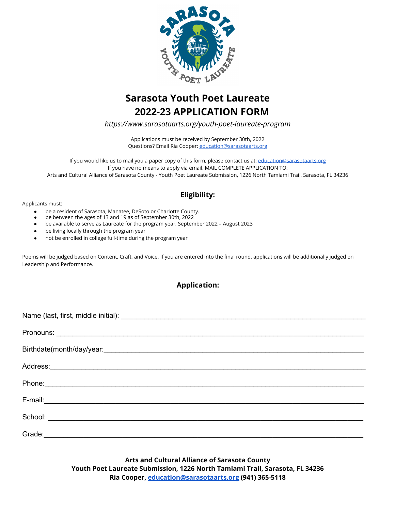

## **Sarasota Youth Poet Laureate 2022-23 APPLICATION FORM**

*https://www.sarasotaarts.org/youth-poet-laureate-program*

Applications must be received by September 30th, 2022 Questions? Email Ria Cooper: [education@sarasotaarts.org](mailto:education@sarasotaarts.org)

If you would like us to mail you a paper copy of this form, please contact us at: [education@sarasotaarts.org](mailto:education@sarasotaarts.org) If you have no means to apply via email, MAIL COMPLETE APPLICATION TO: Arts and Cultural Alliance of Sarasota County - Youth Poet Laureate Submission, 1226 North Tamiami Trail, Sarasota, FL 34236

## **Eligibility:**

Applicants must:

- be a resident of Sarasota, Manatee, DeSoto or Charlotte County.
- be between the ages of 13 and 19 as of September 30th, 2022
- be available to serve as Laureate for the program year, September 2022 August 2023
- be living locally through the program year
- not be enrolled in college full-time during the program year

Poems will be judged based on Content, Craft, and Voice. If you are entered into the final round, applications will be additionally judged on Leadership and Performance.

## **Application:**

**Arts and Cultural Alliance of Sarasota County Youth Poet Laureate Submission, 1226 North Tamiami Trail, Sarasota, FL 34236 Ria Cooper, [education@sarasotaarts.org](mailto:education@sarasotaarts.org) (941) 365-5118**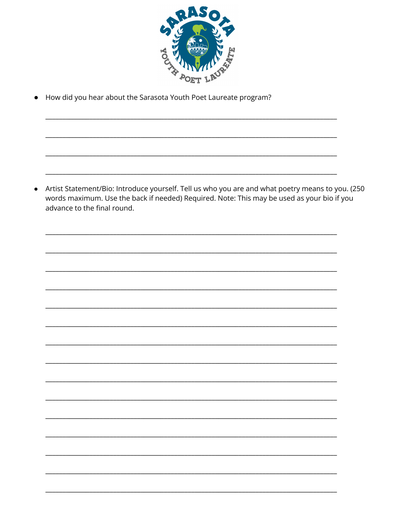

How did you hear about the Sarasota Youth Poet Laureate program?  $\bullet$ 

• Artist Statement/Bio: Introduce yourself. Tell us who you are and what poetry means to you. (250 words maximum. Use the back if needed) Required. Note: This may be used as your bio if you advance to the final round.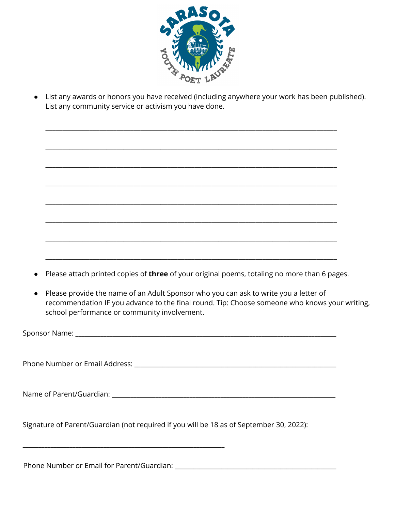

● List any awards or honors you have received (including anywhere your work has been published). List any community service or activism you have done.

\_\_\_\_\_\_\_\_\_\_\_\_\_\_\_\_\_\_\_\_\_\_\_\_\_\_\_\_\_\_\_\_\_\_\_\_\_\_\_\_\_\_\_\_\_\_\_\_\_\_\_\_\_\_\_\_\_\_\_\_\_\_\_\_\_\_\_\_\_\_\_\_\_\_\_\_\_\_\_\_\_\_\_\_\_\_

| Please attach printed copies of three of your original poems, totaling no more than 6 pages.                                                                                                                                          |  |
|---------------------------------------------------------------------------------------------------------------------------------------------------------------------------------------------------------------------------------------|--|
| Please provide the name of an Adult Sponsor who you can ask to write you a letter of<br>recommendation IF you advance to the final round. Tip: Choose someone who knows your writing,<br>school performance or community involvement. |  |
|                                                                                                                                                                                                                                       |  |
|                                                                                                                                                                                                                                       |  |
|                                                                                                                                                                                                                                       |  |
| Signature of Parent/Guardian (not required if you will be 18 as of September 30, 2022):                                                                                                                                               |  |
|                                                                                                                                                                                                                                       |  |

Phone Number or Email for Parent/Guardian: \_\_\_\_\_\_\_\_\_\_\_\_\_\_\_\_\_\_\_\_\_\_\_\_\_\_\_\_\_\_\_\_\_\_\_\_\_\_\_\_\_\_\_\_\_\_\_\_\_\_\_\_